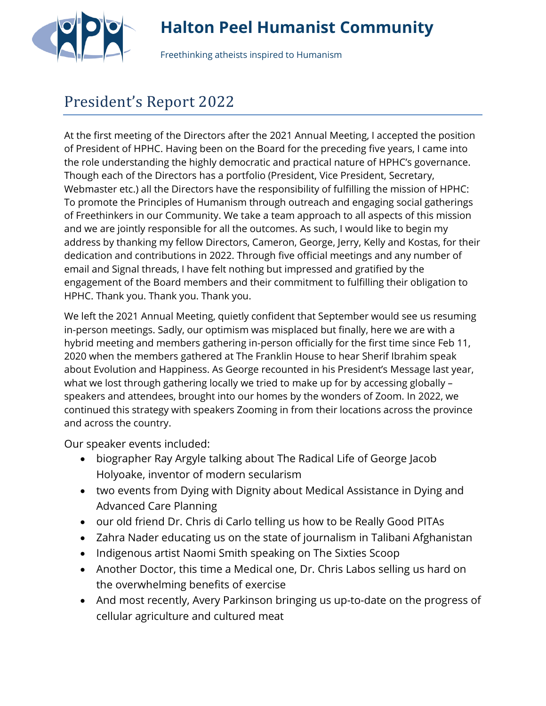

## **Halton Peel Humanist Community**

Freethinking atheists inspired to Humanism

## President's Report 2022

At the first meeting of the Directors after the 2021 Annual Meeting, I accepted the position of President of HPHC. Having been on the Board for the preceding five years, I came into the role understanding the highly democratic and practical nature of HPHC's governance. Though each of the Directors has a portfolio (President, Vice President, Secretary, Webmaster etc.) all the Directors have the responsibility of fulfilling the mission of HPHC: To promote the Principles of Humanism through outreach and engaging social gatherings of Freethinkers in our Community. We take a team approach to all aspects of this mission and we are jointly responsible for all the outcomes. As such, I would like to begin my address by thanking my fellow Directors, Cameron, George, Jerry, Kelly and Kostas, for their dedication and contributions in 2022. Through five official meetings and any number of email and Signal threads, I have felt nothing but impressed and gratified by the engagement of the Board members and their commitment to fulfilling their obligation to HPHC. Thank you. Thank you. Thank you.

We left the 2021 Annual Meeting, quietly confident that September would see us resuming in-person meetings. Sadly, our optimism was misplaced but finally, here we are with a hybrid meeting and members gathering in-person officially for the first time since Feb 11, 2020 when the members gathered at The Franklin House to hear Sherif Ibrahim speak about Evolution and Happiness. As George recounted in his President's Message last year, what we lost through gathering locally we tried to make up for by accessing globally – speakers and attendees, brought into our homes by the wonders of Zoom. In 2022, we continued this strategy with speakers Zooming in from their locations across the province and across the country.

Our speaker events included:

- biographer Ray Argyle talking about The Radical Life of George Jacob Holyoake, inventor of modern secularism
- two events from Dying with Dignity about Medical Assistance in Dying and Advanced Care Planning
- our old friend Dr. Chris di Carlo telling us how to be Really Good PITAs
- Zahra Nader educating us on the state of journalism in Talibani Afghanistan
- Indigenous artist Naomi Smith speaking on The Sixties Scoop
- Another Doctor, this time a Medical one, Dr. Chris Labos selling us hard on the overwhelming benefits of exercise
- And most recently, Avery Parkinson bringing us up-to-date on the progress of cellular agriculture and cultured meat